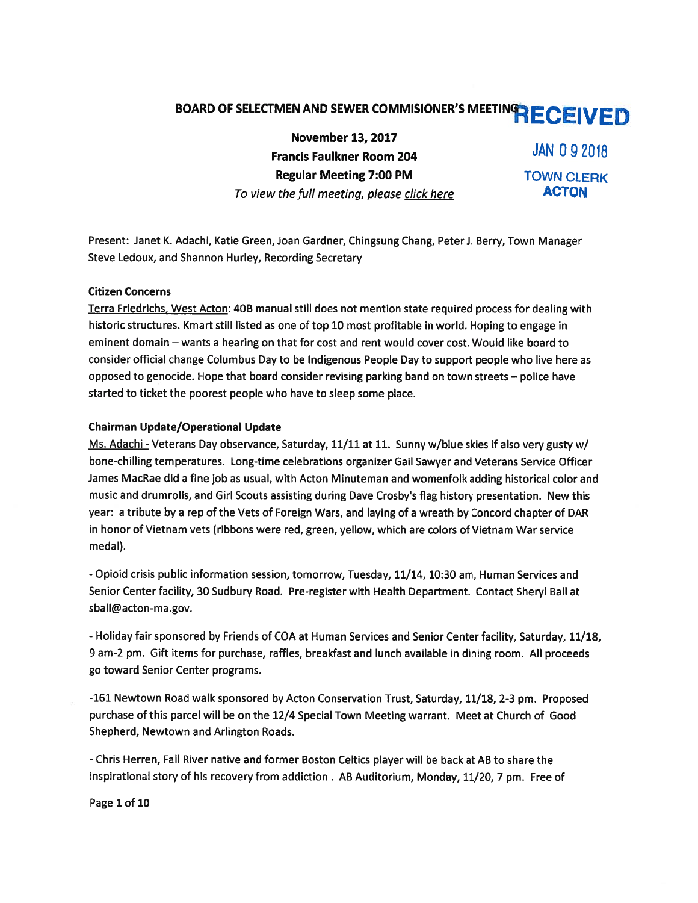# BOARD OF SELECTMEN AND SEWER COMMISIONER'S MEETING RECEIVED

November 13, 2017 Francis Faulkner Room 204 JAN 0 9 2018 Regular Meeting 7:00 PM TOWN CLERK To view the full meeting, please click here **ACTON** 

Present: Janet K. Adachi, Katie Green, Joan Gardner, Chingsung Chang, PeterJ. Berry, Town Manager Steve Ledoux, and Shannon Hurley, Recording Secretary

### Citizen Concerns

Terra Friedrichs, West Acton: 40B manual still does not mention state required process for dealing with historic structures. Kmart still listed as one of top 10 most profitable in world. Hoping to engage in eminent domain — wants <sup>a</sup> hearing on that for cost and rent would cover cost. Would like board to consider official change Columbus Day to be Indigenous People Day to suppor<sup>t</sup> people who live here as opposed to genocide. Hope that board consider revising parking band on town streets — police have started to ticket the poores<sup>t</sup> people who have to sleep some place.

## Chairman Update/Operational Update

Ms. Adachi - Veterans Day observance, Saturday, 11/11 at 11. Sunny w/blue skies if also very gusty w/ bone-chilling temperatures. Long-time celebrations organizer Gail Sawyer and Veterans Service Officer James MacRae did <sup>a</sup> fine job as usual, with Acton Minuteman and womenfolk adding historical color and music and drumrolls, and Girl Scouts assisting during Dave Crosby's flag history presentation. New this year: <sup>a</sup> tribute by <sup>a</sup> rep of the Vets of Foreign Wars, and laying of <sup>a</sup> wreath by Concord chapter of DAR in honor of Vietnam vets (ribbons were red, green, yellow, which are colors of Vietnam War service medal).

- Opioid crisis public information session, tomorrow, Tuesday, 11/14, 10:30 am, Human Services and Senior Center facility, 30 Sudbury Road. Pre-register with Health Department. Contact Sheryl Ball at sball@acton-ma.gov.

- Holiday fair sponsored by Friends of COA at Human Services and Senior Center facility, Saturday, 11/18, 9 am-2 pm. Gift items for purchase, raffles, breakfast and lunch available in dining room. All proceeds go toward Senior Center programs.

-161 Newtown Road walk sponsore<sup>d</sup> by Acton Conservation Trust, Saturday, 11/18, 2-3 pm. Proposed purchase of this parcel will be on the 12/4 Special Town Meeting warrant. Meet at Church of Good Shepherd, Newtown and Arlington Roads.

- Chris Herren, Fall River native and former Boston Celtics <sup>p</sup>layer will be back at AB to share the inspirational story of his recovery from addiction . AB Auditorium, Monday, 11/20, <sup>7</sup> pm. Free of

Page 1 of 10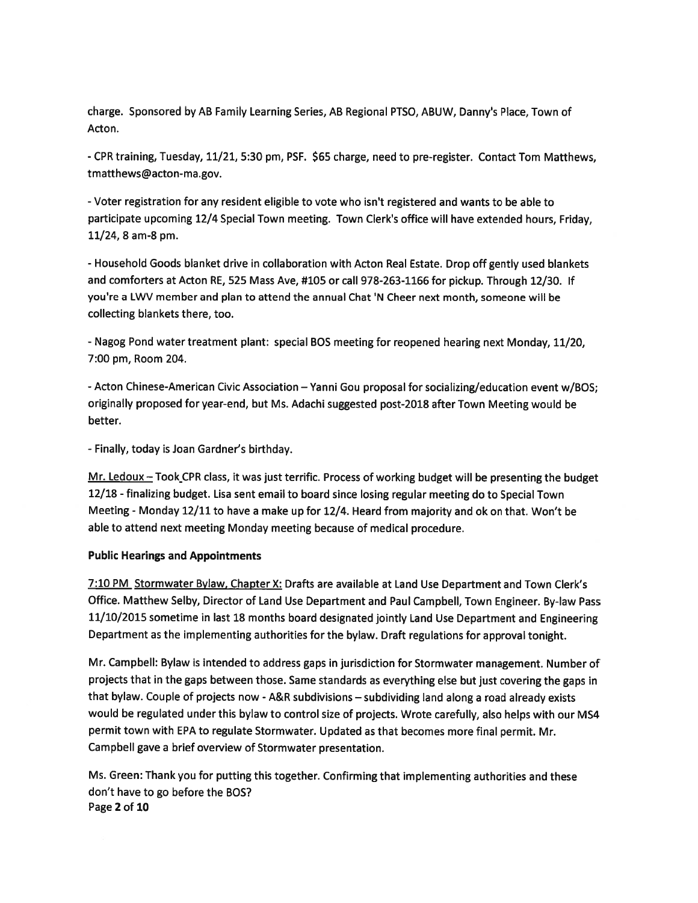charge. Sponsored by AB Family Learning Series, AB Regional PTSO, ABUW, Danny's Place, Town of Acton.

-CPR training, Tuesday, 11/21, 5:30 pm, PSF. \$65 charge, need to pre-register. Contact Tom Matthews, tmatthews@acton-ma.gov.

-Voter registration for any resident eligible to vote who isn't registered and wants to be able to participate upcoming 12/4 Special Town meeting. Town Clerk's office will have extended hours, Friday, 11/24, 8 am-8 pm.

-Household Goods blanket drive in collaboration with Acton Real Estate. Drop off gently used blankets and comforters at Acton RE, 525 Mass Aye, #105 or call 978-263-1166 for pickup. Through 12/30. If you're <sup>a</sup> LWV member and plan to attend the annual Chat 'N Cheer next month, someone will be collecting blankets there, too.

- Nagog Pond water treatment <sup>p</sup>lant: special BOS meeting for reopened hearing next Monday, 11/20, 7:00 pm, Room 204.

-Acton Chinese-American Civic Association — Yanni Gou proposal for socializing/education event w/BOS; originally propose<sup>d</sup> for year-end, but Ms. Adachi suggested post-2018 after Town Meeting would be better.

- Finally, today is Joan Gardner's birthday.

Mr. Ledoux — Took CPR class, it was just terrific. Process of working budget will be presenting the budget 12/18 - finalizing budget. Lisa sent email to board since losing regular meeting do to Special Town Meeting - Monday 12/11 to have <sup>a</sup> make up for 12/4. Heard from majority and ok on that. Won't be able to attend next meeting Monday meeting because of medical procedure.

#### Public Hearings and Appointments

7:10 PM Stormwater Bylaw, Chapter X: Drafts are available at Land Use Department and Town Clerk's Office. Matthew Selby, Director of Land Use Department and Paul Campbell, Town Engineer. By-law Pass 11/10/2015 sometime in last <sup>18</sup> months board designated jointly Land Use Department and Engineering Department as the implementing authorities for the bylaw. Draft regulations for approva<sup>l</sup> tonight.

Mr. Campbell: Bylaw is intended to address gaps in jurisdiction for Stormwater management. Number of projects that in the gaps between those. Same standards as everything else but just covering the gaps in that bylaw. Couple of projects now -A&R subdivisions — subdividing land along <sup>a</sup> road already exists would be regulated under this bylaw to control size of projects. Wrote carefully, also helps with our MS4 permit town with EPA to regulate Stormwater. Updated as that becomes more final permit. Mr. Campbell gave <sup>a</sup> brief overview of Stormwater presentation.

Ms. Green: Thank you for putting this together. Confirming that implementing authorities and these don't have to go before the BOS? Page 2 of 10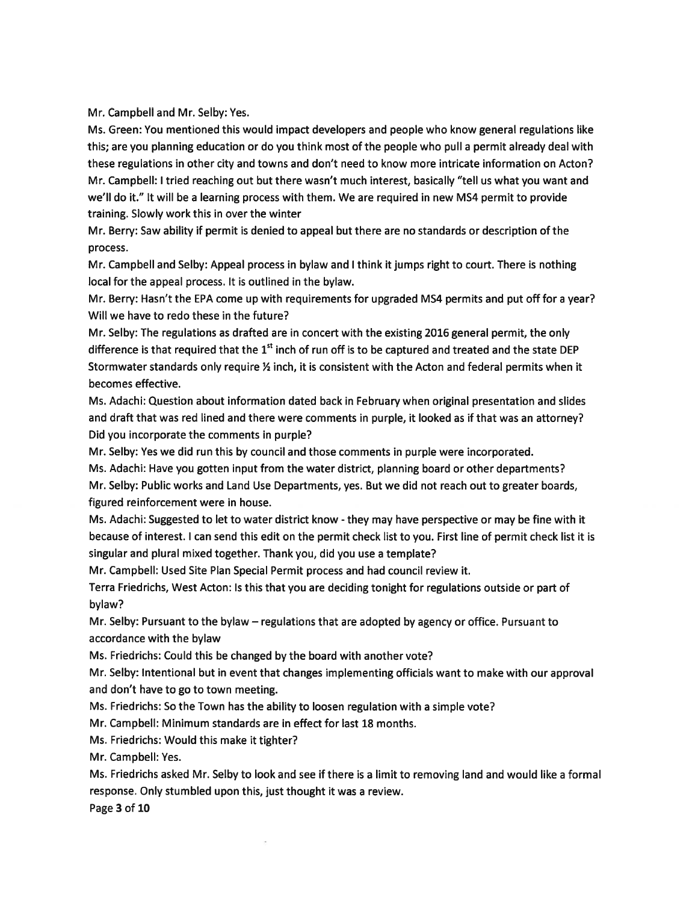Mr. Campbell and Mr. Selby: Yes.

Ms. Green: You mentioned this would impact developers and people who know general regulations like this; are you planning education or do you think most of the people who pull <sup>a</sup> permit already deal with these regulations in other city and towns and don't need to know more intricate information on Acton? Mr. Campbell: I tried reaching out but there wasn't much interest, basically "tell us what you want and we'll do it." It will be <sup>a</sup> learning process with them. We are required in new MS4 permit to provide training. Slowly work this in over the winter

Mr. Berry: Saw ability if permit is denied to appeal but there are no standards or description of the process.

Mr. Campbell and Selby: Appeal process in bylaw and I think it jumps right to court. There is nothing local for the appeal process. It is outlined in the bylaw.

Mr. Berry: Hasn't the EPA come up with requirements for upgraded MS4 permits and pu<sup>t</sup> off for <sup>a</sup> year? Will we have to redo these in the future?

Mr. Selby: The regulations as drafted are in concert with the existing 2016 general permit, the only difference is that required that the 1<sup>st</sup> inch of run off is to be captured and treated and the state DEP Stormwater standards only require  $\frac{1}{2}$  inch, it is consistent with the Acton and federal permits when it becomes effective.

Ms. Adachi: Question about information dated back in February when original presentation and slides and draft that was red lined and there were comments in purple, it looked as if that was an attorney? Did you incorporate the comments in purple?

Mr. Selby: Yes we did run this by council and those comments in purple were incorporated.

Ms. Adachi: Have you gotten input from the water district, planning board or other departments?

Mr. Selby: Public works and Land Use Departments, yes. But we did not reach out to greater boards, figured reinforcement were in house.

Ms. Adachi: Suggested to let to water district know - they may have perspective or may be fine with it because of interest. <sup>I</sup> can send this edit on the permit check list to you. First line of permit check list it is singular and plural mixed together. Thank you, did you use <sup>a</sup> template?

Mr. Campbell: Used Site Plan Special Permit process and had council review it.

Terra Friedrichs, West Acton: Is this that you are deciding tonight for regulations outside or par<sup>t</sup> of bylaw?

Mr. Selby: Pursuant to the bylaw — regulations that are adopted by agency or office. Pursuant to accordance with the bylaw

Ms. Friedrichs: Could this be changed by the board with another vote?

Mr. Selby: Intentional but in event that changes implementing officials want to make with our approval and don't have to go to town meeting.

Ms. Friedrichs: So the Town has the ability to loosen regulation with <sup>a</sup> simple vote?

Mr. Campbell: Minimum standards are in effect for last 18 months.

Ms. Friedrichs: Would this make it tighter?

Mr. Campbell: Yes.

Ms. Friedrichs asked Mr. Selby to look and see if there is a limit to removing land and would like a formal response. Only stumbled upon this, just thought it was <sup>a</sup> review.

Page 3 of 10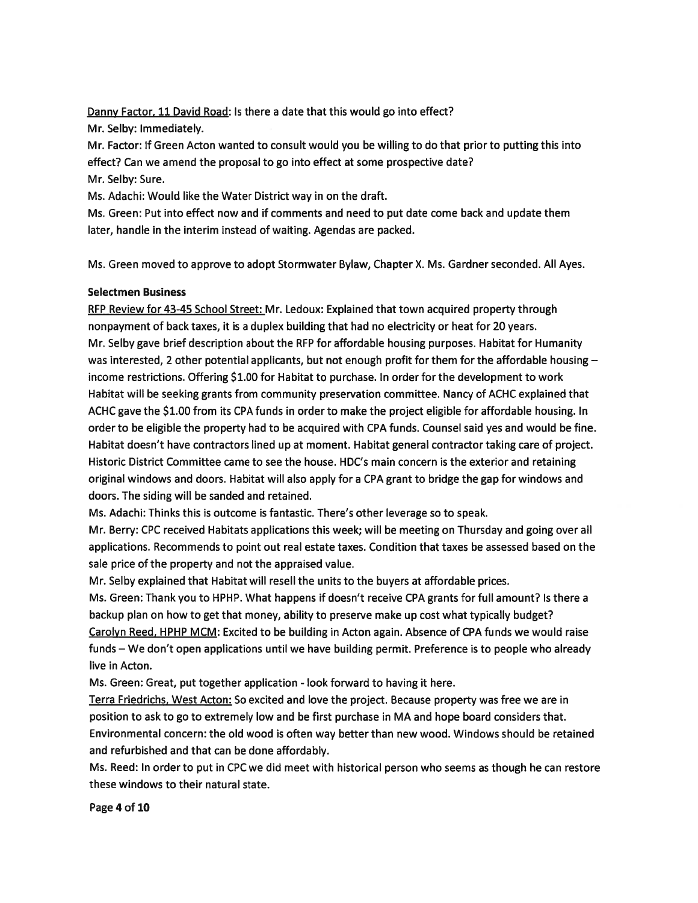Danny Factor, 11 David Road: Is there a date that this would go into effect?

Mr. Selby: Immediately.

Mr. Factor: If Green Acton wanted to consult would you be willing to do that prior to putting this into effect? Can we amend the proposal to go into effect at some prospective date?

Mr. Selby: Sure.

Ms. Adachi: Would like the Water District way in on the draft.

Ms. Green: Put into effect now and if comments and need to pu<sup>t</sup> date come back and update them later, handle in the interim instead of waiting. Agendas are packed.

Ms. Green moved to approve to adopt Stormwater Bylaw, Chapter X. Ms. Gardner seconded. All Ayes.

# Selectmen Business

REP Review for 43-45 School Street: Mr. Ledoux: Explained that town acquired property through nonpaymen<sup>t</sup> of back taxes, it is <sup>a</sup> duplex building that had no electricity or heat for 20 years. Mr. Selby gave brief description about the REP for affordable housing purposes. Habitat for Humanity was interested, 2 other potential applicants, but not enough profit for them for the affordable housing income restrictions. Offering \$1.00 for Habitat to purchase. In order for the development to work Habitat will be seeking grants from community preservation committee. Nancy of ACHC explained that ACHC gave the \$1.00 from its CPA funds in order to make the project eligible for affordable housing. In order to be eligible the property had to be acquired with CPA funds. Counsel said yes and would be fine. Habitat doesn't have contractors lined up at moment. Habitat general contractor taking care of project. Historic District Committee came to see the house. HDC's main concern is the exterior and retaining original windows and doors. Habitat will also apply for <sup>a</sup> CPA gran<sup>t</sup> to bridge the gap for windows and doors. The siding will be sanded and retained.

Ms. Adachi: Thinks this is outcome is fantastic. There's other leverage so to speak.

Mr. Berry: CPC received Habitats applications this week; will be meeting on Thursday and going over all applications. Recommends to point out real estate taxes. Condition that taxes be assessed based on the sale price of the property and not the appraised value.

Mr. Selby explained that Habitat will resell the units to the buyers at affordable prices.

Ms. Green: Thank you to HPHP. What happens if doesn't receive CPA grants for full amount? Is there <sup>a</sup> backup plan on how to ge<sup>t</sup> that money, ability to preserve make up cost what typically budget? Carolyn Reed, HPHP MCM: Excited to be building in Acton again. Absence of CPA funds we would raise funds — We don't open applications until we have building permit. Preference is to people who already live in Acton.

Ms. Green: Great, pu<sup>t</sup> together application - look forward to having it here.

Terra Eriedrichs, West Acton: So excited and love the project. Because property was free we are in position to ask to go to extremely low and be first purchase in MA and hope board considers that. Environmental concern: the old wood is often way better than new wood. Windows should be retained and refurbished and that can be done affordably.

Ms. Reed: In order to pu<sup>t</sup> in CPC we did meet with historical person who seems as though he can restore these windows to their natural state.

Page 4 of 10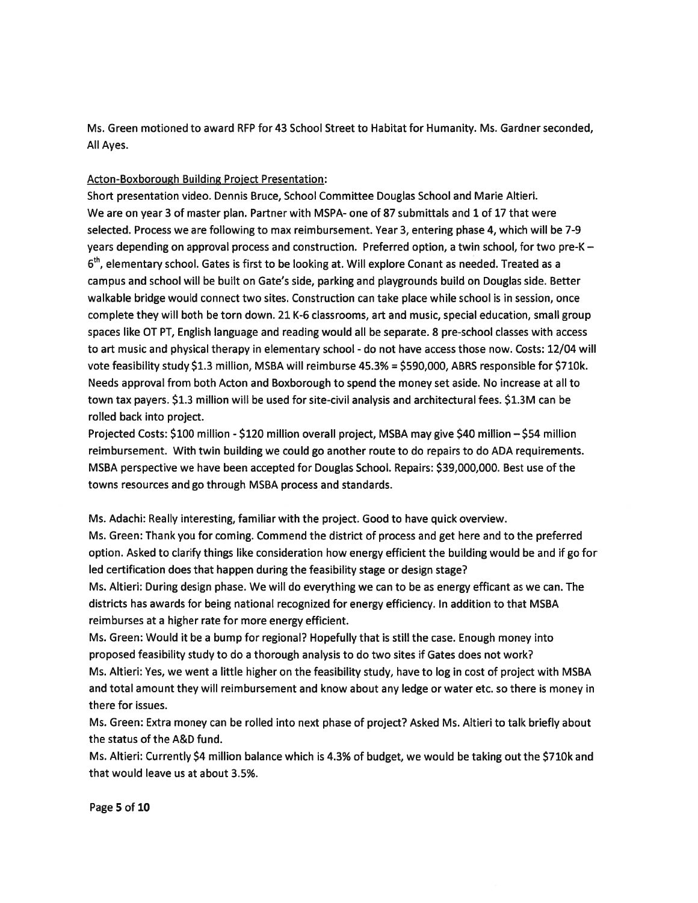Ms. Green motioned to award REP for 43 School Street to Habitat for Humanity. Ms. Gardner seconded, All Ayes.

## Acton-Boxborough Building Proiect Presentation:

Short presentation video. Dennis Bruce, School Committee Douglas School and Marie Altieri. We are on year 3 of master plan. Partner with MSPA- one of 87 submittals and 1 of 17 that were selected. Process we are following to max reimbursement. Year 3, entering phase 4, which will be 7-9 years depending on approval process and construction. Preferred option, <sup>a</sup> twin school, for two pre-K—  $6<sup>th</sup>$ , elementary school. Gates is first to be looking at. Will explore Conant as needed. Treated as a campus and school will be built on Gate's side, parking and playgrounds build on Douglas side. Better walkable bridge would connect two sites. Construction can take place while school is in session, once complete they will both be torn down. 21 K-6 classrooms, art and music, special education, small group spaces like CT PT, English language and reading would all be separate. 8 pre-school classes with access to art music and physical therapy in elementary school - do not have access those now. Costs: 12/04 will vote feasibility study \$1.3 million, MSBA will reimburse 45.3% <sup>=</sup> \$590,000, ABRS responsible for \$710k. Needs approval from both Acton and Boxborough to spend the money set aside. No increase at all to town tax payers. \$1.3 million will be used for site-civil analysis and architectural fees. \$1.3M can be rolled back into project.

Projected Costs: \$100 million - \$120 million overall project, MSBA may give \$40 million - \$54 million reimbursement. With twin building we could go another route to do repairs to do ADA requirements. MSBA perspective we have been accepted for Douglas School. Repairs: \$39,000,000. Best use of the towns resources and go through MSBA process and standards.

Ms. Adachi: Really interesting, familiar with the project. Good to have quick overview.

Ms. Green: Thank you for coming. Commend the district of process and ge<sup>t</sup> here and to the preferred option. Asked to clarify things like consideration how energy efficient the building would be and if go for led certification does that happen during the feasibility stage or design stage?

Ms. Altieri: During design phase. We will do everything we can to be as energy efficant as we can. The districts has awards for being national recognized for energy efficiency. In addition to that MSBA reimburses at <sup>a</sup> higher rate for more energy efficient.

Ms. Green: Would it be <sup>a</sup> bump for regional? Hopefully that is still the case. Enough money into proposed feasibility study to do <sup>a</sup> thorough analysis to do two sites if Gates does not work? Ms. Altieri: Yes, we went <sup>a</sup> little higher on the feasibility study, have to log in cost of project with MSBA and total amount they will reimbursement and know about any ledge or water etc. so there is money in there for issues.

Ms. Green: Extra money can be rolled into next phase of project? Asked Ms. Altieri to talk briefly about the status of the A&D fund.

Ms. Altieri: Currently \$4 million balance which is 4.3% of budget, we would be taking out the \$710k and that would leave us at about 3.5%.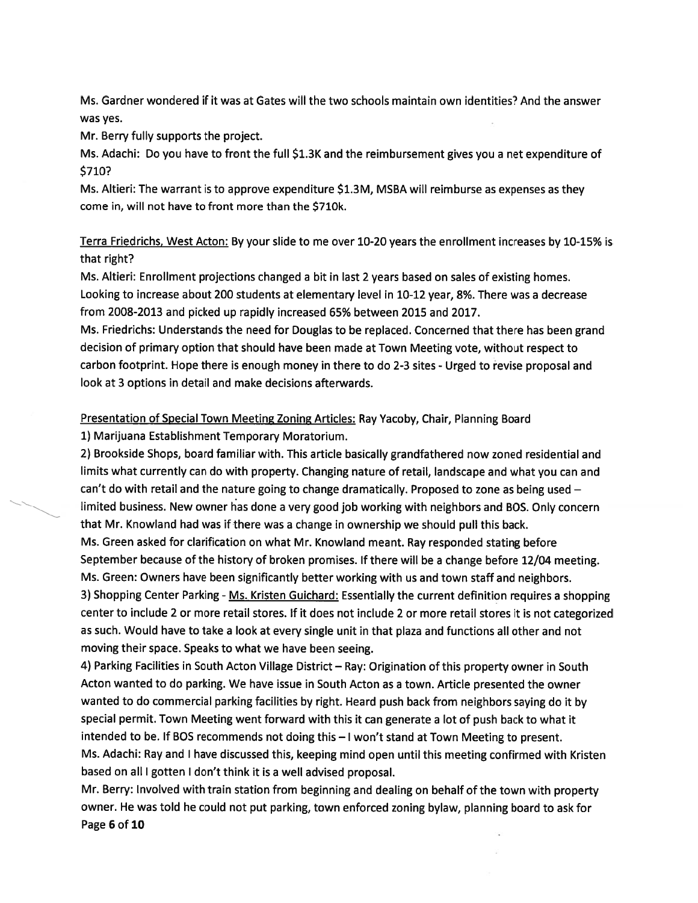Ms. Gardner wondered if it was at Gates will the two schools maintain own identities? And the answer was yes.

Mr. Berry fully supports the project.

Ms. Adachi: Do you have to front the full \$1.3K and the reimbursement <sup>g</sup>ives you <sup>a</sup> net expenditure of \$710?

Ms. Altieri: The warrant is to approve expenditure \$1.3M, MSBA will reimburse as expenses as they come in, will not have to front more than the \$710k.

Terra Friedrichs. West Acton: By your slide to me over 10-20 years the enrollment increases by 10-15% is that right?

Ms. Altieri: Enrollment projections changed <sup>a</sup> bit in last 2 years based on sales of existing homes. Looking to increase about 200 students at elementary level in 10-12 year, 8%. There was <sup>a</sup> decrease from 2008-2013 and picked up rapidly increased 65% between 2015 and 2017.

Ms. Friedrichs: Understands the need for Douglas to be replaced. Concerned that there has been grand decision of primary option that should have been made at Town Meeting vote, without respec<sup>t</sup> to carbon footprint. Hope there is enoug<sup>h</sup> money in there to do 2-3 sites - Urged to revise proposa<sup>l</sup> and look at 3 options in detail and make decisions afterwards.

Presentation of Special Town Meeting Zoning Articles: Ray Yacoby, Chair, Planning Board

1) Marijuana Establishment Temporary Moratorium.

2) Brookside Shops, board familiar with. This article basically grandfathered now zoned residential and limits what currently can do with property. Changing nature of retail, landscape and what you can and can't do with retail and the nature going to change dramatically. Proposed to zone as being used  $$ limited business. New owner has done <sup>a</sup> very good job working with neighbors and BOS. Only concern that Mr. Knowland had was if there was <sup>a</sup> change in ownership we should pull this back. Ms. Green asked for clarification on what Mr. Knowland meant. Ray responded stating before September because of the history of broken promises. If there will be <sup>a</sup> change before 12/04 meeting.

Ms. Green: Owners have been significantly better working with us and town staff and neighbors. 3) Shopping Center Parking - Ms. Kristen Guichard: Essentially the current definition requires a shopping center to include 2 or more retail stores. If it does not include 2 or more retail stores it is not categorized as such. Would have to take <sup>a</sup> look at every single unit in that <sup>p</sup>laza and functions all other and not moving their space. Speaks to what we have been seeing.

4) Parking Facilities in South Acton Village District— Ray: Origination of this property owner in South Acton wanted to do parking. We have issue in South Acton as <sup>a</sup> town. Article presented the owner wanted to do commercial parking facilities by right. Heard pus<sup>h</sup> back from neighbors saying do it by special permit. Town Meeting went forward with this it can generate <sup>a</sup> lot of pus<sup>h</sup> back to what it intended to be. If BOS recommends not doing this — <sup>I</sup> won't stand at Town Meeting to present. Ms. Adachi: Ray and <sup>I</sup> have discussed this, keeping mind open until this meeting confirmed with Kristen based on all <sup>I</sup> gotten <sup>I</sup> don't think it is <sup>a</sup> well advised proposal.

Mr. Berry: Involved with train station from beginning and dealing on behalf of the town with property owner. He was told he could not pu<sup>t</sup> parking, town enforced zoning bylaw, <sup>p</sup>lanning board to ask for Page 6 of 10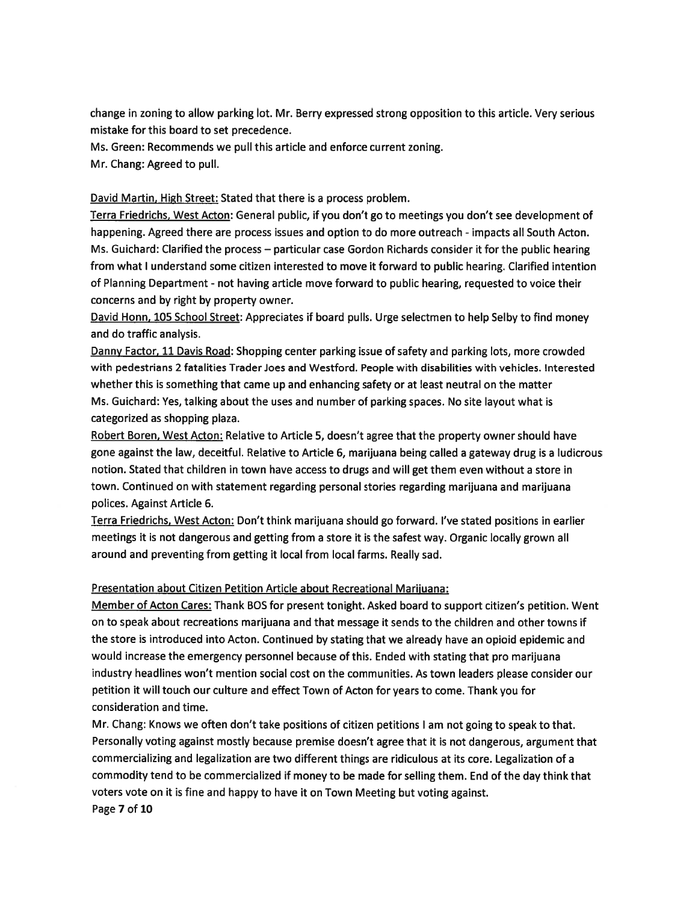change in zoning to allow parking lot. Mr. Berry expressed strong opposition to this article. Very serious mistake for this board to set precedence.

Ms. Green: Recommends we pull this article and enforce current zoning.

Mr. Chang: Agreed to pull.

David Martin, High Street: Stated that there is <sup>a</sup> process problem.

Terra Friedrichs, West Acton: General public, if you don't go to meetings you don't see development of happening. Agreed there are process issues and option to do more outreach - impacts all South Acton. Ms. Guichard: Clarified the process — particular case Gordon Richards consider it for the public hearing from what I understand some citizen interested to move it forward to public hearing. Clarified intention of Planning Department - not having article move forward to public hearing, requested to voice their concerns and by right by property owner.

David Honn, 105 School Street: Appreciates if board pulls. Urge selectmen to help Selby to find money and do traffic analysis.

Danny Factor, 11 Davis Road: Shopping center parking issue of safety and parking lots, more crowded with pedestrians 2 fatalities Trader Joes and Westford. People with disabilities with vehicles. Interested whether this is something that came up and enhancing safety or at least neutral on the matter Ms. Guichard: Yes, talking about the uses and number of parking spaces. No site layout what is categorized as shopping plaza.

Robert Boren, West Acton: Relative to Article 5, doesn't agree that the property owner should have gone against the law, deceitful. Relative to Article 6, marijuana being called <sup>a</sup> gateway drug is <sup>a</sup> ludicrous notion. Stated that children in town have access to drugs and will ge<sup>t</sup> them even without <sup>a</sup> store in town. Continued on with statement regarding personal stories regarding marijuana and marijuana polices. Against Article 6.

Terra Friedrichs, West Acton: Don't think marijuana should go forward. I've stated positions in earlier meetings it is not dangerous and getting from <sup>a</sup> store it is the safest way. Organic locally grown all around and preventing from getting it local from local farms. Really sad.

### Presentation about Citizen Petition Article about Recreational Mariiuana:

Member of Acton Cares: Thank BOS for presen<sup>t</sup> tonight. Asked board to suppor<sup>t</sup> citizen's petition. Went on to speak about recreations marijuana and that message it sends to the children and other towns if the store is introduced into Acton. Continued by stating that we already have an opioid epidemic and would increase the emergency personne<sup>l</sup> because of this. Ended with stating that pro marijuana industry headlines won't mention social cost on the communities. As town leaders please consider our petition it will touch our culture and effect Town of Acton for years to come. Thank you for consideration and time.

Mr. Chang: Knows we often don't take positions of citizen petitions <sup>I</sup> am not going to spea<sup>k</sup> to that. Personally voting against mostly because premise doesn't agree that it is not dangerous, argumen<sup>t</sup> that commercializing and legalization are two different things are ridiculous at its core. Legalization of <sup>a</sup> commodity tend to be commercialized if money to be made for selling them. End of the day think that voters vote on it is fine and happy to have it on Town Meeting but voting against. Page 7 of 10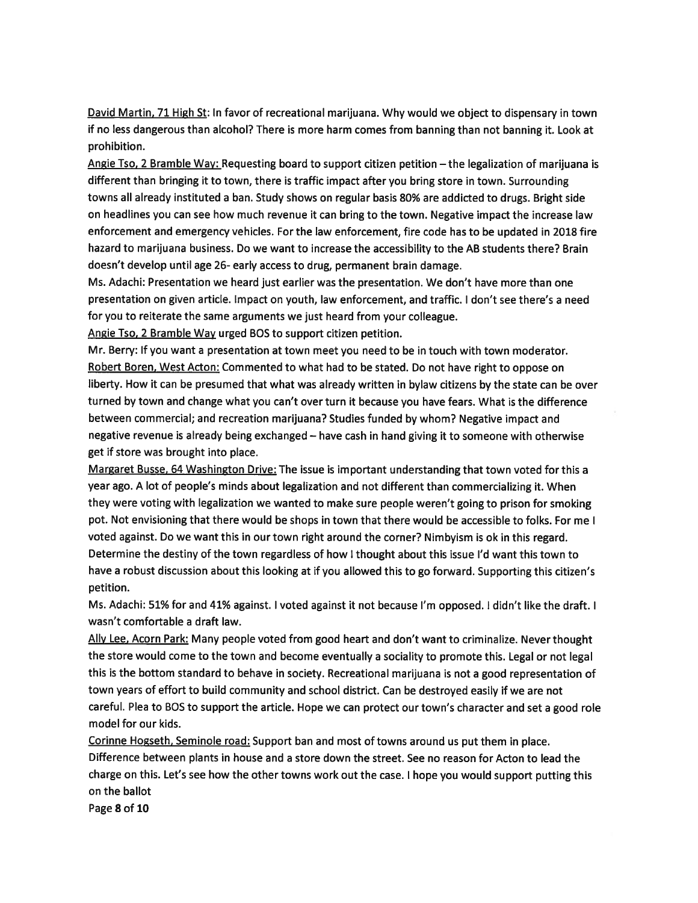David Martin, 71 High St: In favor of recreational marijuana. Why would we object to dispensary in town if no less dangerous than alcohol? There is more harm comes from banning than not banning it. Look at prohibition.

Angie Tso, 2 Bramble Way: Requesting board to suppor<sup>t</sup> citizen petition —the legalization of marijuana is different than bringing it to town, there is traffic impact after you bring store in town. Surrounding towns all already instituted <sup>a</sup> ban. Study shows on regular basis 80% are addicted to drugs. Bright side on headlines you can see how much revenue it can bring to the town. Negative impact the increase law enforcement and emergency vehicles. For the law enforcement, fire code has to be updated in <sup>2018</sup> fire hazard to marijuana business. Do we want to increase the accessibility to the AB students there? Brain doesn't develop until age 26- early access to drug, permanen<sup>t</sup> brain damage.

Ms. Adachi: Presentation we heard just earlier was the presentation. We don't have more than one presentation on given article. Impact on youth, law enforcement, and traffic. I don't see there's <sup>a</sup> need for you to reiterate the same arguments we just heard from your colleague.

Angie Iso, 2 Bramble Way urged BOS to suppor<sup>t</sup> citizen petition.

Mr. Berry: If you want <sup>a</sup> presentation at town meet you need to be in touch with town moderator. Robert Boren, West Acton: Commented to what had to be stated. Do not have right to oppose on liberty. How it can be presumed that what was already written in bylaw citizens by the state can be over turned by town and change what you can't over turn it because you have fears. What is the difference between commercial; and recreation marijuana? Studies funded by whom? Negative impact and negative revenue is already being exchanged — have cash in hand <sup>g</sup>iving it to someone with otherwise ge<sup>t</sup> if store was brought into place.

Margaret Busse, 64 Washington Drive: The issue is important understanding that town voted for this a year ago. A lot of people's minds about legalization and not different than commercializing it. When they were voting with legalization we wanted to make sure people weren't going to prison for smoking pot. Not envisioning that there would be shops in town that there would be accessible to folks. For me I voted against. Do we want this in our town right around the corner? Nimbyism is ok in this regard. Determine the destiny of the town regardless of how I thought about this issue I'd want this town to have <sup>a</sup> robust discussion about this looking at if you allowed this to go forward. Supporting this citizen's petition.

Ms. Adachi: 51% for and 41% against. <sup>I</sup> voted against it not because I'm opposed. <sup>I</sup> didn't like the draft. <sup>I</sup> wasn't comfortable <sup>a</sup> draft law.

Ally Lee, Acorn Park: Many people voted from good heart and don't want to criminalize. Never thought the store would come to the town and become eventually <sup>a</sup> sociality to promote this. Legal or not legal this is the bottom standard to behave in society. Recreational marijuana is not <sup>a</sup> goo<sup>d</sup> representation of town years of effort to build community and school district. Can be destroyed easily if we are not careful. Plea to BOS to suppor<sup>t</sup> the article. Hope we can protect our town's character and set <sup>a</sup> goo<sup>d</sup> role model for our kids.

Corinne Hogseth, Seminole road: Support ban and most of towns around us pu<sup>t</sup> them in <sup>p</sup>lace. Difference between plants in house and <sup>a</sup> store down the street. See no reason for Acton to lead the charge on this. Let's see how the other towns work out the case. <sup>I</sup> hope you would suppor<sup>t</sup> putting this on the ballot

Page 8 of 10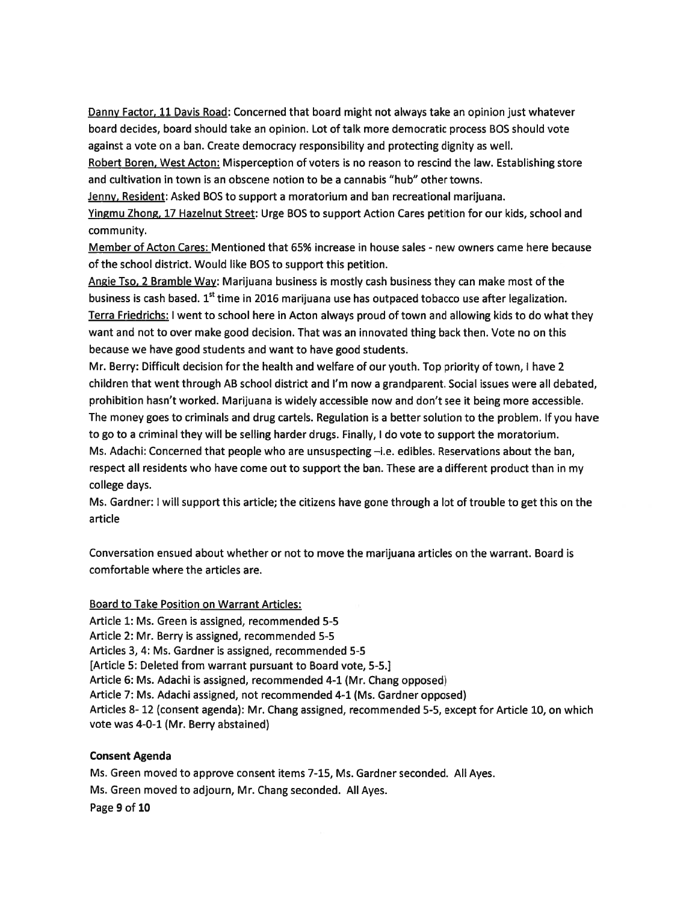Danny Factor, 11 Davis Road: Concerned that board might not always take an opinion just whatever board decides, board should take an opinion. Lot of talk more democratic process BOS should vote against <sup>a</sup> vote on <sup>a</sup> ban. Create democracy responsibility and protecting dignity as well.

Robert Boren. West Acton: Misperception of voters is no reason to rescind the law. Establishing store and cultivation in town is an obscene notion to be <sup>a</sup> cannabis "hub" other towns.

Jenny, Resident: Asked BOS to suppor<sup>t</sup> <sup>a</sup> moratorium and ban recreational marijuana.

Yingmu Zhong, 17 Hazelnut Street: Urge BOS to suppor<sup>t</sup> Action Cares petition for our kids, school and community.

Member of Acton Cares: Mentioned that 65% increase in house sales - new owners came here because of the school district. Would like BOS to suppor<sup>t</sup> this petition.

Angie Tso, 2 Bramble Way: Marijuana business is mostly cash business they can make most of the business is cash based. 1<sup>st</sup> time in 2016 marijuana use has outpaced tobacco use after legalization. Terra Friedrichs: I went to school here in Acton always proud of town and allowing kids to do what they want and not to over make good decision. That was an innovated thing back then. Vote no on this because we have good students and want to have good students.

Mr. Berry: Difficult decision for the health and welfare of our youth. Top priority of town, I have 2 children that went through AB school district and I'm now <sup>a</sup> grandparent. Social issues were all debated, prohibition hasn't worked. Marijuana is widely accessible now and don't see it being more accessible. The money goes to criminals and drug cartels. Regulation is <sup>a</sup> better solution to the problem. If you have to go to <sup>a</sup> criminal they will be selling harder drugs. Finally, I do vote to suppor<sup>t</sup> the moratorium. Ms. Adachi: Concerned that people who are unsuspecting —i.e. edibles. Reservations about the ban, respec<sup>t</sup> all residents who have come out to suppor<sup>t</sup> the ban. These are <sup>a</sup> different product than in my college days.

Ms. Gardner: <sup>I</sup> will suppor<sup>t</sup> this article; the citizens have gone through <sup>a</sup> lot of trouble to ge<sup>t</sup> this on the article

Conversation ensued about whether or not to move the marijuana articles on the warrant. Board is comfortable where the articles are.

## Board to Take Position on Warrant Articles:

Article 1: Ms. Green is assigned, recommended 5-5 Article 2: Mr. Berry is assigned, recommended 5-5 Articles 3, 4: Ms. Gardner is assigned, recommended 5-5 [Article 5: Deleted from warrant pursuan<sup>t</sup> to Board vote, 5-5.] Article 6: Ms. Adachi is assigned, recommended 4-1 (Mr. Chang opposed) Article 7: Ms. Adachi assigned, not recommended 4-1 (Ms. Gardner opposed) Articles 8- 12 (consent agenda): Mr. Chang assigned, recommended 5-5, excep<sup>t</sup> for Article 10, on which vote was 4-0-1 (Mr. Berry abstained)

# Consent Agenda

Ms. Green moved to approve consent items 7-15, Ms. Gardner seconded. All Ayes. Ms. Green moved to adjourn, Mr. Chang seconded. All Ayes. Page 9 of 10